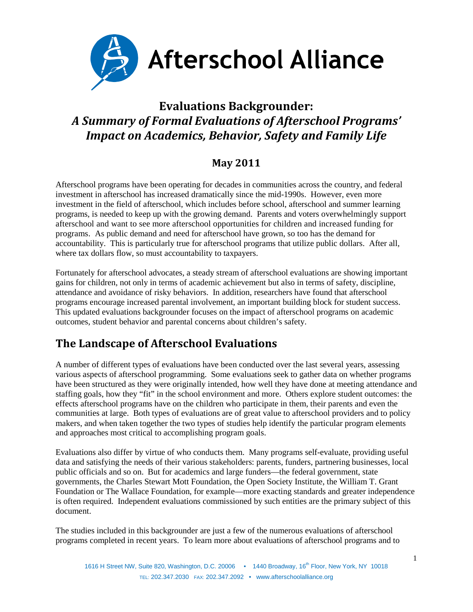

## **Evaluations Backgrounder:** *A Summary of Formal Evaluations of Afterschool Programs' Impact on Academics, Behavior, Safety and Family Life*

## **May 2011**

Afterschool programs have been operating for decades in communities across the country, and federal investment in afterschool has increased dramatically since the mid-1990s. However, even more investment in the field of afterschool, which includes before school, afterschool and summer learning programs, is needed to keep up with the growing demand. Parents and voters overwhelmingly support afterschool and want to see more afterschool opportunities for children and increased funding for programs. As public demand and need for afterschool have grown, so too has the demand for accountability. This is particularly true for afterschool programs that utilize public dollars. After all, where tax dollars flow, so must accountability to taxpayers.

Fortunately for afterschool advocates, a steady stream of afterschool evaluations are showing important gains for children, not only in terms of academic achievement but also in terms of safety, discipline, attendance and avoidance of risky behaviors. In addition, researchers have found that afterschool programs encourage increased parental involvement, an important building block for student success. This updated evaluations backgrounder focuses on the impact of afterschool programs on academic outcomes, student behavior and parental concerns about children's safety.

## **The Landscape of Afterschool Evaluations**

A number of different types of evaluations have been conducted over the last several years, assessing various aspects of afterschool programming. Some evaluations seek to gather data on whether programs have been structured as they were originally intended, how well they have done at meeting attendance and staffing goals, how they "fit" in the school environment and more. Others explore student outcomes: the effects afterschool programs have on the children who participate in them, their parents and even the communities at large. Both types of evaluations are of great value to afterschool providers and to policy makers, and when taken together the two types of studies help identify the particular program elements and approaches most critical to accomplishing program goals.

Evaluations also differ by virtue of who conducts them. Many programs self-evaluate, providing useful data and satisfying the needs of their various stakeholders: parents, funders, partnering businesses, local public officials and so on. But for academics and large funders—the federal government, state governments, the Charles Stewart Mott Foundation, the Open Society Institute, the William T. Grant Foundation or The Wallace Foundation, for example—more exacting standards and greater independence is often required. Independent evaluations commissioned by such entities are the primary subject of this document.

The studies included in this backgrounder are just a few of the numerous evaluations of afterschool programs completed in recent years. To learn more about evaluations of afterschool programs and to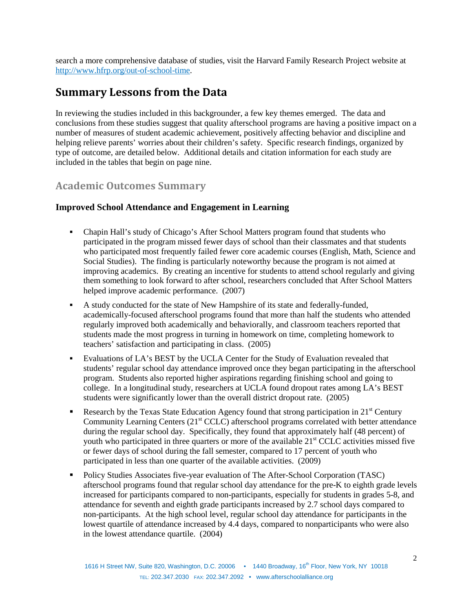search a more comprehensive database of studies, visit the Harvard Family Research Project website at [http://www.hfrp.org/out-of-school-time.](http://www.hfrp.org/out-of-school-time)

## **Summary Lessons from the Data**

In reviewing the studies included in this backgrounder, a few key themes emerged. The data and conclusions from these studies suggest that quality afterschool programs are having a positive impact on a number of measures of student academic achievement, positively affecting behavior and discipline and helping relieve parents' worries about their children's safety. Specific research findings, organized by type of outcome, are detailed below. Additional details and citation information for each study are included in the tables that begin on page nine.

## **Academic Outcomes Summary**

## **Improved School Attendance and Engagement in Learning**

- Chapin Hall's study of Chicago's After School Matters program found that students who participated in the program missed fewer days of school than their classmates and that students who participated most frequently failed fewer core academic courses (English, Math, Science and Social Studies). The finding is particularly noteworthy because the program is not aimed at improving academics. By creating an incentive for students to attend school regularly and giving them something to look forward to after school, researchers concluded that After School Matters helped improve academic performance. (2007)
- A study conducted for the state of New Hampshire of its state and federally-funded, academically-focused afterschool programs found that more than half the students who attended regularly improved both academically and behaviorally, and classroom teachers reported that students made the most progress in turning in homework on time, completing homework to teachers' satisfaction and participating in class. (2005)
- Evaluations of LA's BEST by the UCLA Center for the Study of Evaluation revealed that students' regular school day attendance improved once they began participating in the afterschool program. Students also reported higher aspirations regarding finishing school and going to college. In a longitudinal study, researchers at UCLA found dropout rates among LA's BEST students were significantly lower than the overall district dropout rate. (2005)
- Research by the Texas State Education Agency found that strong participation in  $21<sup>st</sup>$  Century Community Learning Centers  $(21<sup>st</sup> CCLC)$  afterschool programs correlated with better attendance during the regular school day. Specifically, they found that approximately half (48 percent) of youth who participated in three quarters or more of the available  $21<sup>st</sup> CCLC$  activities missed five or fewer days of school during the fall semester, compared to 17 percent of youth who participated in less than one quarter of the available activities. (2009)
- **Policy Studies Associates five-year evaluation of The After-School Corporation (TASC)** afterschool programs found that regular school day attendance for the pre-K to eighth grade levels increased for participants compared to non-participants, especially for students in grades 5-8, and attendance for seventh and eighth grade participants increased by 2.7 school days compared to non-participants. At the high school level, regular school day attendance for participants in the lowest quartile of attendance increased by 4.4 days, compared to nonparticipants who were also in the lowest attendance quartile. (2004)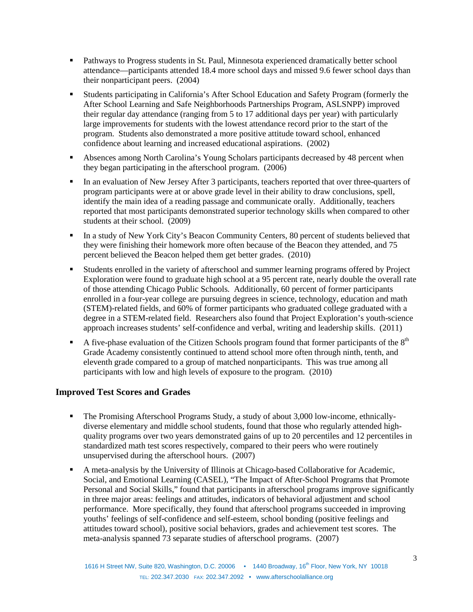- Pathways to Progress students in St. Paul, Minnesota experienced dramatically better school attendance—participants attended 18.4 more school days and missed 9.6 fewer school days than their nonparticipant peers. (2004)
- Students participating in California's After School Education and Safety Program (formerly the After School Learning and Safe Neighborhoods Partnerships Program, ASLSNPP) improved their regular day attendance (ranging from 5 to 17 additional days per year) with particularly large improvements for students with the lowest attendance record prior to the start of the program. Students also demonstrated a more positive attitude toward school, enhanced confidence about learning and increased educational aspirations. (2002)
- Absences among North Carolina's Young Scholars participants decreased by 48 percent when they began participating in the afterschool program. (2006)
- In an evaluation of New Jersey After 3 participants, teachers reported that over three-quarters of program participants were at or above grade level in their ability to draw conclusions, spell, identify the main idea of a reading passage and communicate orally. Additionally, teachers reported that most participants demonstrated superior technology skills when compared to other students at their school. (2009)
- In a study of New York City's Beacon Community Centers, 80 percent of students believed that they were finishing their homework more often because of the Beacon they attended, and 75 percent believed the Beacon helped them get better grades. (2010)
- Students enrolled in the variety of afterschool and summer learning programs offered by Project Exploration were found to graduate high school at a 95 percent rate, nearly double the overall rate of those attending Chicago Public Schools. Additionally, 60 percent of former participants enrolled in a four-year college are pursuing degrees in science, technology, education and math (STEM)-related fields, and 60% of former participants who graduated college graduated with a degree in a STEM-related field. Researchers also found that Project Exploration's youth-science approach increases students' self-confidence and verbal, writing and leadership skills. (2011)
- A five-phase evaluation of the Citizen Schools program found that former participants of the  $8<sup>th</sup>$ Grade Academy consistently continued to attend school more often through ninth, tenth, and eleventh grade compared to a group of matched nonparticipants. This was true among all participants with low and high levels of exposure to the program. (2010)

## **Improved Test Scores and Grades**

- The Promising Afterschool Programs Study, a study of about 3,000 low-income, ethnicallydiverse elementary and middle school students, found that those who regularly attended highquality programs over two years demonstrated gains of up to 20 percentiles and 12 percentiles in standardized math test scores respectively, compared to their peers who were routinely unsupervised during the afterschool hours. (2007)
- A meta-analysis by the University of Illinois at Chicago-based Collaborative for Academic, Social, and Emotional Learning (CASEL), "The Impact of After-School Programs that Promote Personal and Social Skills," found that participants in afterschool programs improve significantly in three major areas: feelings and attitudes, indicators of behavioral adjustment and school performance. More specifically, they found that afterschool programs succeeded in improving youths' feelings of self-confidence and self-esteem, school bonding (positive feelings and attitudes toward school), positive social behaviors, grades and achievement test scores. The meta-analysis spanned 73 separate studies of afterschool programs. (2007)

3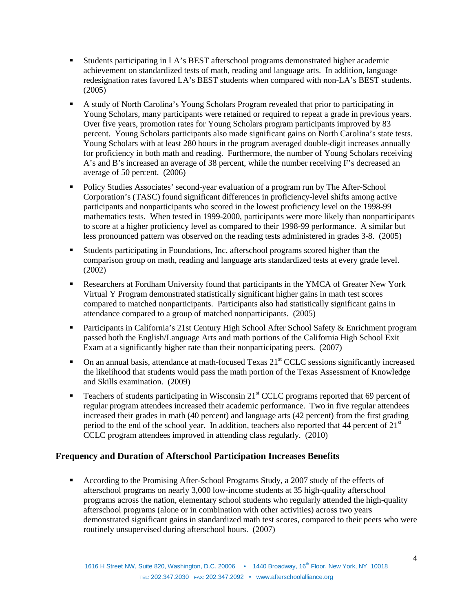- Students participating in LA's BEST afterschool programs demonstrated higher academic achievement on standardized tests of math, reading and language arts. In addition, language redesignation rates favored LA's BEST students when compared with non-LA's BEST students. (2005)
- A study of North Carolina's Young Scholars Program revealed that prior to participating in Young Scholars, many participants were retained or required to repeat a grade in previous years. Over five years, promotion rates for Young Scholars program participants improved by 83 percent. Young Scholars participants also made significant gains on North Carolina's state tests. Young Scholars with at least 280 hours in the program averaged double-digit increases annually for proficiency in both math and reading. Furthermore, the number of Young Scholars receiving A's and B's increased an average of 38 percent, while the number receiving F's decreased an average of 50 percent. (2006)
- Policy Studies Associates' second-year evaluation of a program run by The After-School Corporation's (TASC) found significant differences in proficiency-level shifts among active participants and nonparticipants who scored in the lowest proficiency level on the 1998-99 mathematics tests. When tested in 1999-2000, participants were more likely than nonparticipants to score at a higher proficiency level as compared to their 1998-99 performance. A similar but less pronounced pattern was observed on the reading tests administered in grades 3-8. (2005)
- Students participating in Foundations, Inc. afterschool programs scored higher than the comparison group on math, reading and language arts standardized tests at every grade level. (2002)
- Researchers at Fordham University found that participants in the YMCA of Greater New York Virtual Y Program demonstrated statistically significant higher gains in math test scores compared to matched nonparticipants. Participants also had statistically significant gains in attendance compared to a group of matched nonparticipants. (2005)
- **Participants in California's 21st Century High School After School Safety & Enrichment program** passed both the English/Language Arts and math portions of the California High School Exit Exam at a significantly higher rate than their nonparticipating peers. (2007)
- $\blacksquare$  On an annual basis, attendance at math-focused Texas 21<sup>st</sup> CCLC sessions significantly increased the likelihood that students would pass the math portion of the Texas Assessment of Knowledge and Skills examination. (2009)
- Teachers of students participating in Wisconsin 21<sup>st</sup> CCLC programs reported that 69 percent of regular program attendees increased their academic performance. Two in five regular attendees increased their grades in math (40 percent) and language arts (42 percent) from the first grading period to the end of the school year. In addition, teachers also reported that 44 percent of 21<sup>st</sup> CCLC program attendees improved in attending class regularly. (2010)

## **Frequency and Duration of Afterschool Participation Increases Benefits**

 According to the Promising After-School Programs Study, a 2007 study of the effects of afterschool programs on nearly 3,000 low-income students at 35 high-quality afterschool programs across the nation, elementary school students who regularly attended the high-quality afterschool programs (alone or in combination with other activities) across two years demonstrated significant gains in standardized math test scores, compared to their peers who were routinely unsupervised during afterschool hours. (2007)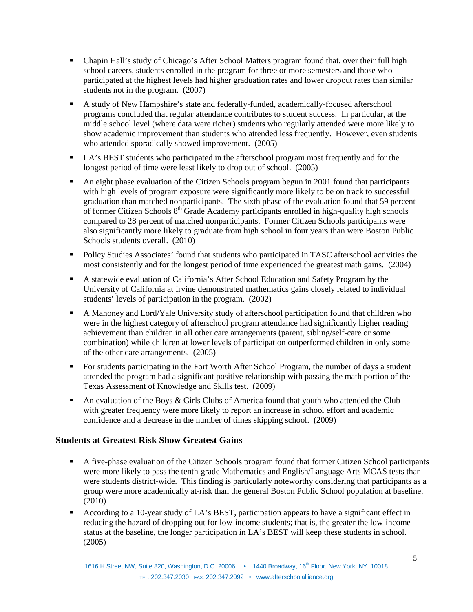- Chapin Hall's study of Chicago's After School Matters program found that, over their full high school careers, students enrolled in the program for three or more semesters and those who participated at the highest levels had higher graduation rates and lower dropout rates than similar students not in the program. (2007)
- A study of New Hampshire's state and federally-funded, academically-focused afterschool programs concluded that regular attendance contributes to student success. In particular, at the middle school level (where data were richer) students who regularly attended were more likely to show academic improvement than students who attended less frequently. However, even students who attended sporadically showed improvement. (2005)
- LA's BEST students who participated in the afterschool program most frequently and for the longest period of time were least likely to drop out of school. (2005)
- An eight phase evaluation of the Citizen Schools program begun in 2001 found that participants with high levels of program exposure were significantly more likely to be on track to successful graduation than matched nonparticipants. The sixth phase of the evaluation found that 59 percent of former Citizen Schools 8<sup>th</sup> Grade Academy participants enrolled in high-quality high schools compared to 28 percent of matched nonparticipants. Former Citizen Schools participants were also significantly more likely to graduate from high school in four years than were Boston Public Schools students overall. (2010)
- Policy Studies Associates' found that students who participated in TASC afterschool activities the most consistently and for the longest period of time experienced the greatest math gains. (2004)
- A statewide evaluation of California's After School Education and Safety Program by the University of California at Irvine demonstrated mathematics gains closely related to individual students' levels of participation in the program. (2002)
- A Mahoney and Lord/Yale University study of afterschool participation found that children who were in the highest category of afterschool program attendance had significantly higher reading achievement than children in all other care arrangements (parent, sibling/self-care or some combination) while children at lower levels of participation outperformed children in only some of the other care arrangements. (2005)
- For students participating in the Fort Worth After School Program, the number of days a student attended the program had a significant positive relationship with passing the math portion of the Texas Assessment of Knowledge and Skills test. (2009)
- An evaluation of the Boys & Girls Clubs of America found that youth who attended the Club with greater frequency were more likely to report an increase in school effort and academic confidence and a decrease in the number of times skipping school. (2009)

## **Students at Greatest Risk Show Greatest Gains**

- A five-phase evaluation of the Citizen Schools program found that former Citizen School participants were more likely to pass the tenth-grade Mathematics and English/Language Arts MCAS tests than were students district-wide. This finding is particularly noteworthy considering that participants as a group were more academically at-risk than the general Boston Public School population at baseline. (2010)
- According to a 10-year study of LA's BEST, participation appears to have a significant effect in reducing the hazard of dropping out for low-income students; that is, the greater the low-income status at the baseline, the longer participation in LA's BEST will keep these students in school. (2005)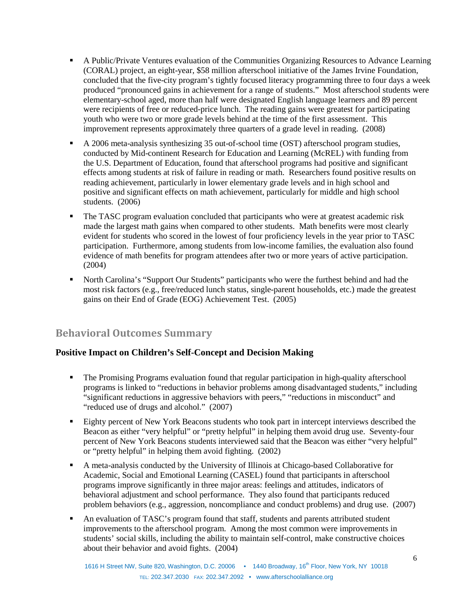- A Public/Private Ventures evaluation of the Communities Organizing Resources to Advance Learning (CORAL) project, an eight-year, \$58 million afterschool initiative of the James Irvine Foundation, concluded that the five-city program's tightly focused literacy programming three to four days a week produced "pronounced gains in achievement for a range of students." Most afterschool students were elementary-school aged, more than half were designated English language learners and 89 percent were recipients of free or reduced-price lunch. The reading gains were greatest for participating youth who were two or more grade levels behind at the time of the first assessment. This improvement represents approximately three quarters of a grade level in reading. (2008)
- A 2006 meta-analysis synthesizing 35 out-of-school time (OST) afterschool program studies, conducted by Mid-continent Research for Education and Learning (McREL) with funding from the U.S. Department of Education, found that afterschool programs had positive and significant effects among students at risk of failure in reading or math. Researchers found positive results on reading achievement, particularly in lower elementary grade levels and in high school and positive and significant effects on math achievement, particularly for middle and high school students. (2006)
- The TASC program evaluation concluded that participants who were at greatest academic risk made the largest math gains when compared to other students. Math benefits were most clearly evident for students who scored in the lowest of four proficiency levels in the year prior to TASC participation. Furthermore, among students from low-income families, the evaluation also found evidence of math benefits for program attendees after two or more years of active participation. (2004)
- North Carolina's "Support Our Students" participants who were the furthest behind and had the most risk factors (e.g., free/reduced lunch status, single-parent households, etc.) made the greatest gains on their End of Grade (EOG) Achievement Test. (2005)

## **Behavioral Outcomes Summary**

## **Positive Impact on Children's Self-Concept and Decision Making**

- The Promising Programs evaluation found that regular participation in high-quality afterschool programs is linked to "reductions in behavior problems among disadvantaged students," including "significant reductions in aggressive behaviors with peers," "reductions in misconduct" and "reduced use of drugs and alcohol." (2007)
- Eighty percent of New York Beacons students who took part in intercept interviews described the Beacon as either "very helpful" or "pretty helpful" in helping them avoid drug use. Seventy-four percent of New York Beacons students interviewed said that the Beacon was either "very helpful" or "pretty helpful" in helping them avoid fighting. (2002)
- A meta-analysis conducted by the University of Illinois at Chicago-based Collaborative for Academic, Social and Emotional Learning (CASEL) found that participants in afterschool programs improve significantly in three major areas: feelings and attitudes, indicators of behavioral adjustment and school performance. They also found that participants reduced problem behaviors (e.g., aggression, noncompliance and conduct problems) and drug use. (2007)
- An evaluation of TASC's program found that staff, students and parents attributed student improvements to the afterschool program. Among the most common were improvements in students' social skills, including the ability to maintain self-control, make constructive choices about their behavior and avoid fights. (2004)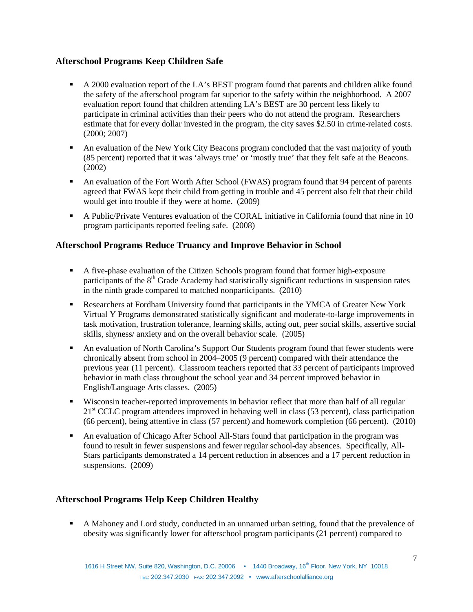## **Afterschool Programs Keep Children Safe**

- A 2000 evaluation report of the LA's BEST program found that parents and children alike found the safety of the afterschool program far superior to the safety within the neighborhood. A 2007 evaluation report found that children attending LA's BEST are 30 percent less likely to participate in criminal activities than their peers who do not attend the program. Researchers estimate that for every dollar invested in the program, the city saves \$2.50 in crime-related costs. (2000; 2007)
- An evaluation of the New York City Beacons program concluded that the vast majority of youth (85 percent) reported that it was 'always true' or 'mostly true' that they felt safe at the Beacons. (2002)
- An evaluation of the Fort Worth After School (FWAS) program found that 94 percent of parents agreed that FWAS kept their child from getting in trouble and 45 percent also felt that their child would get into trouble if they were at home. (2009)
- A Public/Private Ventures evaluation of the CORAL initiative in California found that nine in 10 program participants reported feeling safe. (2008)

## **Afterschool Programs Reduce Truancy and Improve Behavior in School**

- A five-phase evaluation of the Citizen Schools program found that former high-exposure participants of the  $8<sup>th</sup>$  Grade Academy had statistically significant reductions in suspension rates in the ninth grade compared to matched nonparticipants. (2010)
- Researchers at Fordham University found that participants in the YMCA of Greater New York Virtual Y Programs demonstrated statistically significant and moderate-to-large improvements in task motivation, frustration tolerance, learning skills, acting out, peer social skills, assertive social skills, shyness/ anxiety and on the overall behavior scale. (2005)
- An evaluation of North Carolina's Support Our Students program found that fewer students were chronically absent from school in 2004–2005 (9 percent) compared with their attendance the previous year (11 percent). Classroom teachers reported that 33 percent of participants improved behavior in math class throughout the school year and 34 percent improved behavior in English/Language Arts classes. (2005)
- Wisconsin teacher-reported improvements in behavior reflect that more than half of all regular 21<sup>st</sup> CCLC program attendees improved in behaving well in class (53 percent), class participation (66 percent), being attentive in class (57 percent) and homework completion (66 percent). (2010)
- An evaluation of Chicago After School All-Stars found that participation in the program was found to result in fewer suspensions and fewer regular school-day absences. Specifically, All-Stars participants demonstrated a 14 percent reduction in absences and a 17 percent reduction in suspensions. (2009)

## **Afterschool Programs Help Keep Children Healthy**

 A Mahoney and Lord study, conducted in an unnamed urban setting, found that the prevalence of obesity was significantly lower for afterschool program participants (21 percent) compared to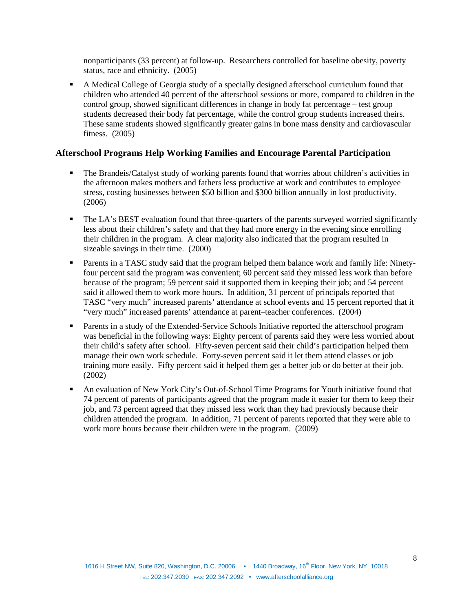nonparticipants (33 percent) at follow-up. Researchers controlled for baseline obesity, poverty status, race and ethnicity. (2005)

 A Medical College of Georgia study of a specially designed afterschool curriculum found that children who attended 40 percent of the afterschool sessions or more, compared to children in the control group, showed significant differences in change in body fat percentage – test group students decreased their body fat percentage, while the control group students increased theirs. These same students showed significantly greater gains in bone mass density and cardiovascular fitness. (2005)

#### **Afterschool Programs Help Working Families and Encourage Parental Participation**

- The Brandeis/Catalyst study of working parents found that worries about children's activities in the afternoon makes mothers and fathers less productive at work and contributes to employee stress, costing businesses between \$50 billion and \$300 billion annually in lost productivity. (2006)
- The LA's BEST evaluation found that three-quarters of the parents surveyed worried significantly less about their children's safety and that they had more energy in the evening since enrolling their children in the program. A clear majority also indicated that the program resulted in sizeable savings in their time. (2000)
- Parents in a TASC study said that the program helped them balance work and family life: Ninetyfour percent said the program was convenient; 60 percent said they missed less work than before because of the program; 59 percent said it supported them in keeping their job; and 54 percent said it allowed them to work more hours. In addition, 31 percent of principals reported that TASC "very much" increased parents' attendance at school events and 15 percent reported that it "very much" increased parents' attendance at parent–teacher conferences. (2004)
- **Parents in a study of the Extended-Service Schools Initiative reported the afterschool program** was beneficial in the following ways: Eighty percent of parents said they were less worried about their child's safety after school. Fifty-seven percent said their child's participation helped them manage their own work schedule. Forty-seven percent said it let them attend classes or job training more easily. Fifty percent said it helped them get a better job or do better at their job. (2002)
- An evaluation of New York City's Out-of-School Time Programs for Youth initiative found that 74 percent of parents of participants agreed that the program made it easier for them to keep their job, and 73 percent agreed that they missed less work than they had previously because their children attended the program. In addition, 71 percent of parents reported that they were able to work more hours because their children were in the program. (2009)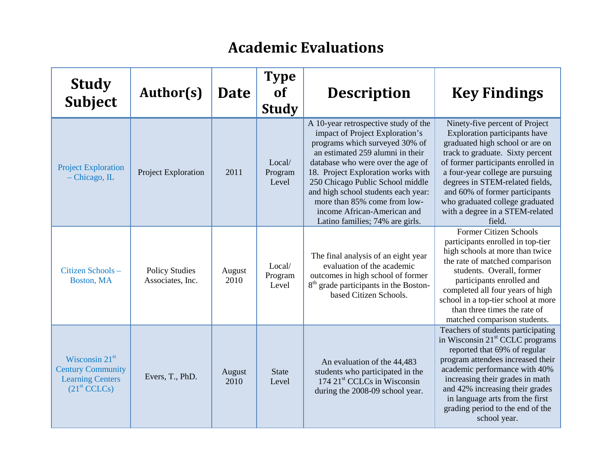# **Academic Evaluations**

| <b>Study</b><br><b>Subject</b>                                                                      | Author(s)                                 | <b>Date</b>    | <b>Type</b><br><b>of</b><br><b>Study</b> | <b>Description</b>                                                                                                                                                                                                                                                                                                                                                                                    | <b>Key Findings</b>                                                                                                                                                                                                                                                                                                                                                   |
|-----------------------------------------------------------------------------------------------------|-------------------------------------------|----------------|------------------------------------------|-------------------------------------------------------------------------------------------------------------------------------------------------------------------------------------------------------------------------------------------------------------------------------------------------------------------------------------------------------------------------------------------------------|-----------------------------------------------------------------------------------------------------------------------------------------------------------------------------------------------------------------------------------------------------------------------------------------------------------------------------------------------------------------------|
| <b>Project Exploration</b><br>$-$ Chicago, IL                                                       | Project Exploration                       | 2011           | Local/<br>Program<br>Level               | A 10-year retrospective study of the<br>impact of Project Exploration's<br>programs which surveyed 30% of<br>an estimated 259 alumni in their<br>database who were over the age of<br>18. Project Exploration works with<br>250 Chicago Public School middle<br>and high school students each year:<br>more than 85% come from low-<br>income African-American and<br>Latino families; 74% are girls. | Ninety-five percent of Project<br>Exploration participants have<br>graduated high school or are on<br>track to graduate. Sixty percent<br>of former participants enrolled in<br>a four-year college are pursuing<br>degrees in STEM-related fields,<br>and 60% of former participants<br>who graduated college graduated<br>with a degree in a STEM-related<br>field. |
| Citizen Schools-<br>Boston, MA                                                                      | <b>Policy Studies</b><br>Associates, Inc. | August<br>2010 | Local/<br>Program<br>Level               | The final analysis of an eight year<br>evaluation of the academic<br>outcomes in high school of former<br>8 <sup>th</sup> grade participants in the Boston-<br>based Citizen Schools.                                                                                                                                                                                                                 | <b>Former Citizen Schools</b><br>participants enrolled in top-tier<br>high schools at more than twice<br>the rate of matched comparison<br>students. Overall, former<br>participants enrolled and<br>completed all four years of high<br>school in a top-tier school at more<br>than three times the rate of<br>matched comparison students.                          |
| Wisconsin $21st$<br><b>Century Community</b><br><b>Learning Centers</b><br>(21 <sup>st</sup> CCLCs) | Evers, T., PhD.                           | August<br>2010 | <b>State</b><br>Level                    | An evaluation of the 44,483<br>students who participated in the<br>174 21 <sup>st</sup> CCLCs in Wisconsin<br>during the 2008-09 school year.                                                                                                                                                                                                                                                         | Teachers of students participating<br>in Wisconsin 21 <sup>st</sup> CCLC programs<br>reported that 69% of regular<br>program attendees increased their<br>academic performance with 40%<br>increasing their grades in math<br>and 42% increasing their grades<br>in language arts from the first<br>grading period to the end of the<br>school year.                  |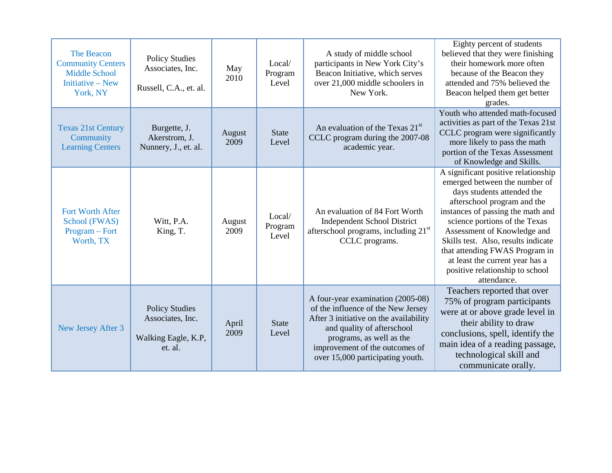| The Beacon<br><b>Community Centers</b><br><b>Middle School</b><br>Initiative – New<br>York, NY | <b>Policy Studies</b><br>Associates, Inc.<br>Russell, C.A., et. al.         | May<br>2010    | Local/<br>Program<br>Level | A study of middle school<br>participants in New York City's<br>Beacon Initiative, which serves<br>over 21,000 middle schoolers in<br>New York.                                                                                                    | Eighty percent of students<br>believed that they were finishing<br>their homework more often<br>because of the Beacon they<br>attended and 75% believed the<br>Beacon helped them get better<br>grades.                                                                                                                                                                                              |
|------------------------------------------------------------------------------------------------|-----------------------------------------------------------------------------|----------------|----------------------------|---------------------------------------------------------------------------------------------------------------------------------------------------------------------------------------------------------------------------------------------------|------------------------------------------------------------------------------------------------------------------------------------------------------------------------------------------------------------------------------------------------------------------------------------------------------------------------------------------------------------------------------------------------------|
| <b>Texas 21st Century</b><br>Community<br><b>Learning Centers</b>                              | Burgette, J.<br>Akerstrom, J.<br>Nunnery, J., et. al.                       | August<br>2009 | <b>State</b><br>Level      | An evaluation of the Texas 21 <sup>st</sup><br>CCLC program during the 2007-08<br>academic year.                                                                                                                                                  | Youth who attended math-focused<br>activities as part of the Texas 21st<br>CCLC program were significantly<br>more likely to pass the math<br>portion of the Texas Assessment<br>of Knowledge and Skills.                                                                                                                                                                                            |
| <b>Fort Worth After</b><br>School (FWAS)<br>Program – Fort<br>Worth, TX                        | Witt, P.A.<br>King, T.                                                      | August<br>2009 | Local/<br>Program<br>Level | An evaluation of 84 Fort Worth<br><b>Independent School District</b><br>afterschool programs, including 21 <sup>st</sup><br>CCLC programs.                                                                                                        | A significant positive relationship<br>emerged between the number of<br>days students attended the<br>afterschool program and the<br>instances of passing the math and<br>science portions of the Texas<br>Assessment of Knowledge and<br>Skills test. Also, results indicate<br>that attending FWAS Program in<br>at least the current year has a<br>positive relationship to school<br>attendance. |
| New Jersey After 3                                                                             | <b>Policy Studies</b><br>Associates, Inc.<br>Walking Eagle, K.P,<br>et. al. | April<br>2009  | <b>State</b><br>Level      | A four-year examination (2005-08)<br>of the influence of the New Jersey<br>After 3 initiative on the availability<br>and quality of afterschool<br>programs, as well as the<br>improvement of the outcomes of<br>over 15,000 participating youth. | Teachers reported that over<br>75% of program participants<br>were at or above grade level in<br>their ability to draw<br>conclusions, spell, identify the<br>main idea of a reading passage,<br>technological skill and<br>communicate orally.                                                                                                                                                      |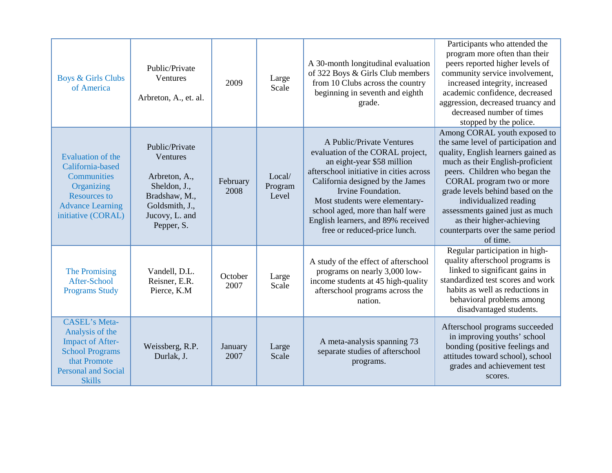| <b>Boys &amp; Girls Clubs</b><br>of America                                                                                                                 | Public/Private<br>Ventures<br>Arbreton, A., et. al.                                                                            | 2009             | Large<br>Scale             | A 30-month longitudinal evaluation<br>of 322 Boys & Girls Club members<br>from 10 Clubs across the country<br>beginning in seventh and eighth<br>grade.                                                                                                                                                                                      | Participants who attended the<br>program more often than their<br>peers reported higher levels of<br>community service involvement,<br>increased integrity, increased<br>academic confidence, decreased<br>aggression, decreased truancy and<br>decreased number of times<br>stopped by the police.                                                                                         |
|-------------------------------------------------------------------------------------------------------------------------------------------------------------|--------------------------------------------------------------------------------------------------------------------------------|------------------|----------------------------|----------------------------------------------------------------------------------------------------------------------------------------------------------------------------------------------------------------------------------------------------------------------------------------------------------------------------------------------|---------------------------------------------------------------------------------------------------------------------------------------------------------------------------------------------------------------------------------------------------------------------------------------------------------------------------------------------------------------------------------------------|
| <b>Evaluation of the</b><br>California-based<br><b>Communities</b><br>Organizing<br><b>Resources to</b><br><b>Advance Learning</b><br>initiative (CORAL)    | Public/Private<br>Ventures<br>Arbreton, A.,<br>Sheldon, J.,<br>Bradshaw, M.,<br>Goldsmith, J.,<br>Jucovy, L. and<br>Pepper, S. | February<br>2008 | Local/<br>Program<br>Level | A Public/Private Ventures<br>evaluation of the CORAL project,<br>an eight-year \$58 million<br>afterschool initiative in cities across<br>California designed by the James<br>Irvine Foundation.<br>Most students were elementary-<br>school aged, more than half were<br>English learners, and 89% received<br>free or reduced-price lunch. | Among CORAL youth exposed to<br>the same level of participation and<br>quality, English learners gained as<br>much as their English-proficient<br>peers. Children who began the<br>CORAL program two or more<br>grade levels behind based on the<br>individualized reading<br>assessments gained just as much<br>as their higher-achieving<br>counterparts over the same period<br>of time. |
| The Promising<br>After-School<br><b>Programs Study</b>                                                                                                      | Vandell, D.L.<br>Reisner, E.R.<br>Pierce, K.M.                                                                                 | October<br>2007  | Large<br>Scale             | A study of the effect of afterschool<br>programs on nearly 3,000 low-<br>income students at 45 high-quality<br>afterschool programs across the<br>nation.                                                                                                                                                                                    | Regular participation in high-<br>quality afterschool programs is<br>linked to significant gains in<br>standardized test scores and work<br>habits as well as reductions in<br>behavioral problems among<br>disadvantaged students.                                                                                                                                                         |
| <b>CASEL's Meta-</b><br>Analysis of the<br><b>Impact of After-</b><br><b>School Programs</b><br>that Promote<br><b>Personal and Social</b><br><b>Skills</b> | Weissberg, R.P.<br>Durlak, J.                                                                                                  | January<br>2007  | Large<br>Scale             | A meta-analysis spanning 73<br>separate studies of afterschool<br>programs.                                                                                                                                                                                                                                                                  | Afterschool programs succeeded<br>in improving youths' school<br>bonding (positive feelings and<br>attitudes toward school), school<br>grades and achievement test<br>scores.                                                                                                                                                                                                               |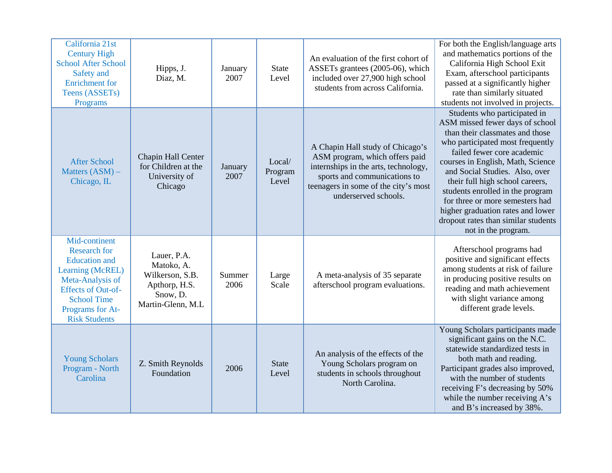| California 21st<br><b>Century High</b><br><b>School After School</b><br>Safety and<br><b>Enrichment</b> for<br>Teens (ASSETs)<br>Programs                                                           | Hipps, J.<br>Diaz, M.                                                                           | January<br>2007 | <b>State</b><br>Level      | An evaluation of the first cohort of<br>ASSETs grantees (2005-06), which<br>included over 27,900 high school<br>students from across California.                                                           | For both the English/language arts<br>and mathematics portions of the<br>California High School Exit<br>Exam, afterschool participants<br>passed at a significantly higher<br>rate than similarly situated<br>students not involved in projects.                                                                                                                                                                                                         |
|-----------------------------------------------------------------------------------------------------------------------------------------------------------------------------------------------------|-------------------------------------------------------------------------------------------------|-----------------|----------------------------|------------------------------------------------------------------------------------------------------------------------------------------------------------------------------------------------------------|----------------------------------------------------------------------------------------------------------------------------------------------------------------------------------------------------------------------------------------------------------------------------------------------------------------------------------------------------------------------------------------------------------------------------------------------------------|
| <b>After School</b><br>Matters (ASM) -<br>Chicago, IL                                                                                                                                               | Chapin Hall Center<br>for Children at the<br>University of<br>Chicago                           | January<br>2007 | Local/<br>Program<br>Level | A Chapin Hall study of Chicago's<br>ASM program, which offers paid<br>internships in the arts, technology,<br>sports and communications to<br>teenagers in some of the city's most<br>underserved schools. | Students who participated in<br>ASM missed fewer days of school<br>than their classmates and those<br>who participated most frequently<br>failed fewer core academic<br>courses in English, Math, Science<br>and Social Studies. Also, over<br>their full high school careers,<br>students enrolled in the program<br>for three or more semesters had<br>higher graduation rates and lower<br>dropout rates than similar students<br>not in the program. |
| Mid-continent<br><b>Research for</b><br><b>Education</b> and<br>Learning (McREL)<br>Meta-Analysis of<br><b>Effects of Out-of-</b><br><b>School Time</b><br>Programs for At-<br><b>Risk Students</b> | Lauer, P.A.<br>Matoko, A.<br>Wilkerson, S.B.<br>Apthorp, H.S.<br>Snow, D.<br>Martin-Glenn, M.L. | Summer<br>2006  | Large<br>Scale             | A meta-analysis of 35 separate<br>afterschool program evaluations.                                                                                                                                         | Afterschool programs had<br>positive and significant effects<br>among students at risk of failure<br>in producing positive results on<br>reading and math achievement<br>with slight variance among<br>different grade levels.                                                                                                                                                                                                                           |
| <b>Young Scholars</b><br>Program - North<br>Carolina                                                                                                                                                | Z. Smith Reynolds<br>Foundation                                                                 | 2006            | <b>State</b><br>Level      | An analysis of the effects of the<br>Young Scholars program on<br>students in schools throughout<br>North Carolina.                                                                                        | Young Scholars participants made<br>significant gains on the N.C.<br>statewide standardized tests in<br>both math and reading.<br>Participant grades also improved,<br>with the number of students<br>receiving F's decreasing by 50%<br>while the number receiving A's<br>and B's increased by 38%.                                                                                                                                                     |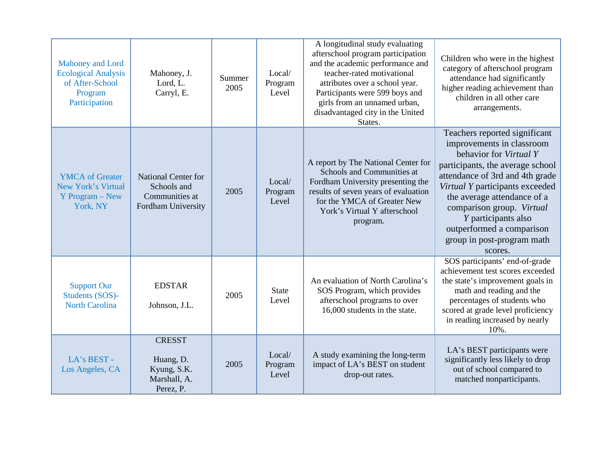| <b>Mahoney and Lord</b><br><b>Ecological Analysis</b><br>of After-School<br>Program<br>Participation | Mahoney, J.<br>Lord, L.<br>Carryl, E.                                             | Summer<br>2005 | Local/<br>Program<br>Level | A longitudinal study evaluating<br>afterschool program participation<br>and the academic performance and<br>teacher-rated motivational<br>attributes over a school year.<br>Participants were 599 boys and<br>girls from an unnamed urban,<br>disadvantaged city in the United<br>States. | Children who were in the highest<br>category of afterschool program<br>attendance had significantly<br>higher reading achievement than<br>children in all other care<br>arrangements.                                                                                                                                                                   |
|------------------------------------------------------------------------------------------------------|-----------------------------------------------------------------------------------|----------------|----------------------------|-------------------------------------------------------------------------------------------------------------------------------------------------------------------------------------------------------------------------------------------------------------------------------------------|---------------------------------------------------------------------------------------------------------------------------------------------------------------------------------------------------------------------------------------------------------------------------------------------------------------------------------------------------------|
| <b>YMCA</b> of Greater<br>New York's Virtual<br>Y Program – New<br>York, NY                          | <b>National Center for</b><br>Schools and<br>Communities at<br>Fordham University | 2005           | Local/<br>Program<br>Level | A report by The National Center for<br>Schools and Communities at<br>Fordham University presenting the<br>results of seven years of evaluation<br>for the YMCA of Greater New<br>York's Virtual Y afterschool<br>program.                                                                 | Teachers reported significant<br>improvements in classroom<br>behavior for Virtual Y<br>participants, the average school<br>attendance of 3rd and 4th grade<br>Virtual Y participants exceeded<br>the average attendance of a<br>comparison group. Virtual<br>Y participants also<br>outperformed a comparison<br>group in post-program math<br>scores. |
| <b>Support Our</b><br>Students (SOS)-<br><b>North Carolina</b>                                       | <b>EDSTAR</b><br>Johnson, J.L.                                                    | 2005           | <b>State</b><br>Level      | An evaluation of North Carolina's<br>SOS Program, which provides<br>afterschool programs to over<br>16,000 students in the state.                                                                                                                                                         | SOS participants' end-of-grade<br>achievement test scores exceeded<br>the state's improvement goals in<br>math and reading and the<br>percentages of students who<br>scored at grade level proficiency<br>in reading increased by nearly<br>10%.                                                                                                        |
| LA's BEST -<br>Los Angeles, CA                                                                       | <b>CRESST</b><br>Huang, D.<br>Kyung, S.K.<br>Marshall, A.<br>Perez, P.            | 2005           | Local/<br>Program<br>Level | A study examining the long-term<br>impact of LA's BEST on student<br>drop-out rates.                                                                                                                                                                                                      | LA's BEST participants were<br>significantly less likely to drop<br>out of school compared to<br>matched nonparticipants.                                                                                                                                                                                                                               |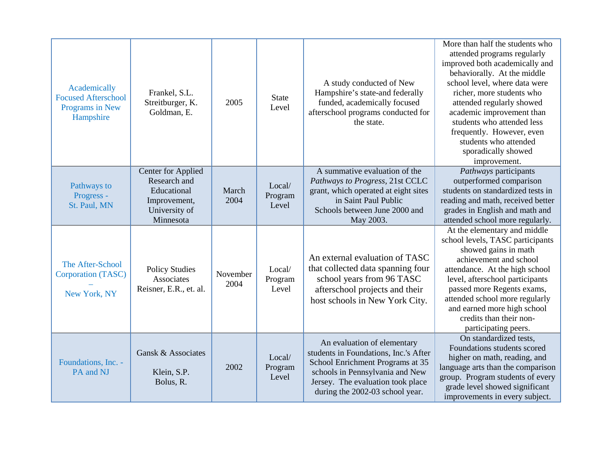| Academically<br><b>Focused Afterschool</b><br>Programs in New<br>Hampshire | Frankel, S.L.<br>Streitburger, K.<br>Goldman, E.                                                       | 2005             | <b>State</b><br>Level      | A study conducted of New<br>Hampshire's state-and federally<br>funded, academically focused<br>afterschool programs conducted for<br>the state.                                                                     | More than half the students who<br>attended programs regularly<br>improved both academically and<br>behaviorally. At the middle<br>school level, where data were<br>richer, more students who<br>attended regularly showed<br>academic improvement than<br>students who attended less<br>frequently. However, even<br>students who attended<br>sporadically showed<br>improvement. |
|----------------------------------------------------------------------------|--------------------------------------------------------------------------------------------------------|------------------|----------------------------|---------------------------------------------------------------------------------------------------------------------------------------------------------------------------------------------------------------------|------------------------------------------------------------------------------------------------------------------------------------------------------------------------------------------------------------------------------------------------------------------------------------------------------------------------------------------------------------------------------------|
| Pathways to<br>Progress -<br>St. Paul, MN                                  | <b>Center for Applied</b><br>Research and<br>Educational<br>Improvement,<br>University of<br>Minnesota | March<br>2004    | Local/<br>Program<br>Level | A summative evaluation of the<br>Pathways to Progress, 21st CCLC<br>grant, which operated at eight sites<br>in Saint Paul Public<br>Schools between June 2000 and<br>May 2003.                                      | Pathways participants<br>outperformed comparison<br>students on standardized tests in<br>reading and math, received better<br>grades in English and math and<br>attended school more regularly.                                                                                                                                                                                    |
| The After-School<br>Corporation (TASC)<br>New York, NY                     | <b>Policy Studies</b><br>Associates<br>Reisner, E.R., et. al.                                          | November<br>2004 | Local/<br>Program<br>Level | An external evaluation of TASC<br>that collected data spanning four<br>school years from 96 TASC<br>afterschool projects and their<br>host schools in New York City.                                                | At the elementary and middle<br>school levels, TASC participants<br>showed gains in math<br>achievement and school<br>attendance. At the high school<br>level, afterschool participants<br>passed more Regents exams,<br>attended school more regularly<br>and earned more high school<br>credits than their non-<br>participating peers.                                          |
| Foundations, Inc. -<br>PA and NJ                                           | Gansk & Associates<br>Klein, S.P.<br>Bolus, R.                                                         | 2002             | Local/<br>Program<br>Level | An evaluation of elementary<br>students in Foundations, Inc.'s After<br>School Enrichment Programs at 35<br>schools in Pennsylvania and New<br>Jersey. The evaluation took place<br>during the 2002-03 school year. | On standardized tests,<br>Foundations students scored<br>higher on math, reading, and<br>language arts than the comparison<br>group. Program students of every<br>grade level showed significant<br>improvements in every subject.                                                                                                                                                 |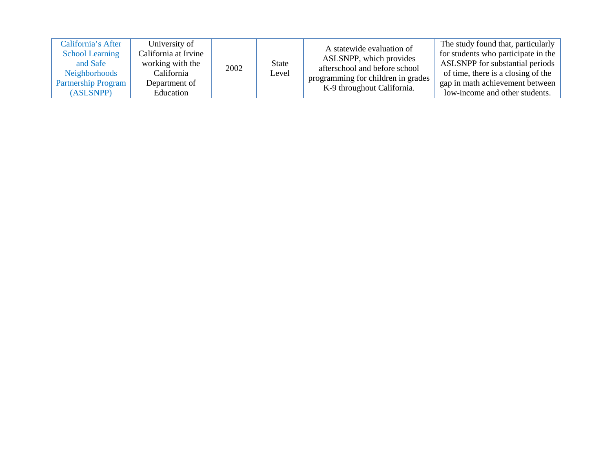| California's After<br><b>School Learning</b><br>and Safe<br>Neighborhoods<br><b>Partnership Program</b><br>(ASLSNPP) | University of<br>California at Irvine<br>working with the<br>California<br>Department of<br>Education | 2002 | State<br>Level | A statewide evaluation of<br>ASLSNPP, which provides<br>afterschool and before school<br>programming for children in grades<br>K-9 throughout California. | The study found that, particularly<br>for students who participate in the<br>ASLSNPP for substantial periods<br>of time, there is a closing of the<br>gap in math achievement between<br>low-income and other students. |
|----------------------------------------------------------------------------------------------------------------------|-------------------------------------------------------------------------------------------------------|------|----------------|-----------------------------------------------------------------------------------------------------------------------------------------------------------|-------------------------------------------------------------------------------------------------------------------------------------------------------------------------------------------------------------------------|
|----------------------------------------------------------------------------------------------------------------------|-------------------------------------------------------------------------------------------------------|------|----------------|-----------------------------------------------------------------------------------------------------------------------------------------------------------|-------------------------------------------------------------------------------------------------------------------------------------------------------------------------------------------------------------------------|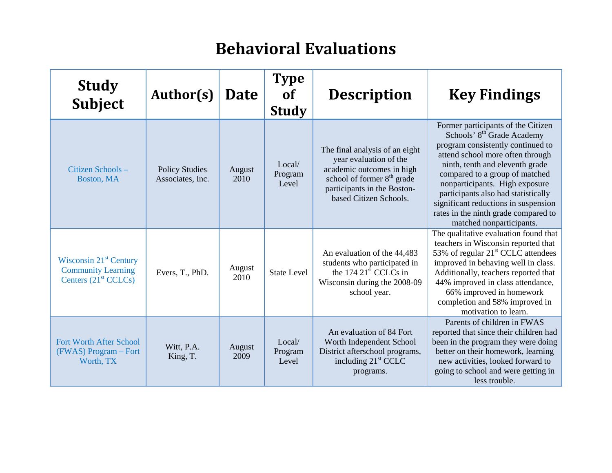# **Behavioral Evaluations**

| <b>Study</b><br><b>Subject</b>                                                  | Author(s)                                 | <b>Date</b>    | <b>Type</b><br>of<br><b>Study</b> | <b>Description</b>                                                                                                                                                                       | <b>Key Findings</b>                                                                                                                                                                                                                                                                                                                                                                                             |
|---------------------------------------------------------------------------------|-------------------------------------------|----------------|-----------------------------------|------------------------------------------------------------------------------------------------------------------------------------------------------------------------------------------|-----------------------------------------------------------------------------------------------------------------------------------------------------------------------------------------------------------------------------------------------------------------------------------------------------------------------------------------------------------------------------------------------------------------|
| Citizen Schools-<br>Boston, MA                                                  | <b>Policy Studies</b><br>Associates, Inc. | August<br>2010 | Local/<br>Program<br>Level        | The final analysis of an eight<br>year evaluation of the<br>academic outcomes in high<br>school of former 8 <sup>th</sup> grade<br>participants in the Boston-<br>based Citizen Schools. | Former participants of the Citizen<br>Schools' 8 <sup>th</sup> Grade Academy<br>program consistently continued to<br>attend school more often through<br>ninth, tenth and eleventh grade<br>compared to a group of matched<br>nonparticipants. High exposure<br>participants also had statistically<br>significant reductions in suspension<br>rates in the ninth grade compared to<br>matched nonparticipants. |
| Wisconsin $21st$ Century<br><b>Community Learning</b><br>Centers $(21st CCLCs)$ | Evers, T., PhD.                           | August<br>2010 | <b>State Level</b>                | An evaluation of the 44,483<br>students who participated in<br>the 174 $21st$ CCLCs in<br>Wisconsin during the 2008-09<br>school year.                                                   | The qualitative evaluation found that<br>teachers in Wisconsin reported that<br>53% of regular $21st$ CCLC attendees<br>improved in behaving well in class.<br>Additionally, teachers reported that<br>44% improved in class attendance,<br>66% improved in homework<br>completion and 58% improved in<br>motivation to learn.                                                                                  |
| <b>Fort Worth After School</b><br>(FWAS) Program - Fort<br>Worth, TX            | Witt, P.A.<br>King, T.                    | August<br>2009 | Local/<br>Program<br>Level        | An evaluation of 84 Fort<br>Worth Independent School<br>District afterschool programs,<br>including $21st$ CCLC<br>programs.                                                             | Parents of children in FWAS<br>reported that since their children had<br>been in the program they were doing<br>better on their homework, learning<br>new activities, looked forward to<br>going to school and were getting in<br>less trouble.                                                                                                                                                                 |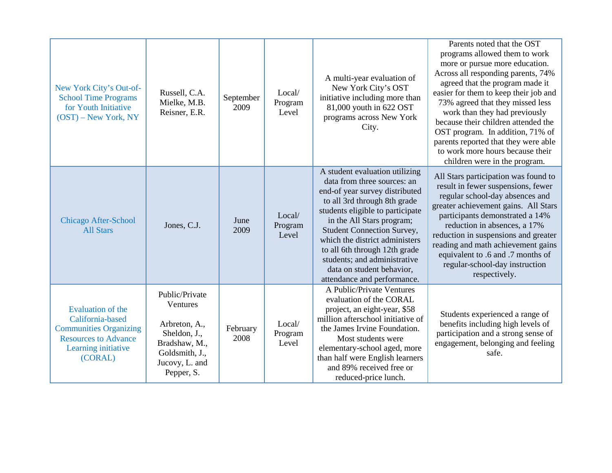| New York City's Out-of-<br><b>School Time Programs</b><br>for Youth Initiative<br>$(OST)$ – New York, NY                                       | Russell, C.A.<br>Mielke, M.B.<br>Reisner, E.R.                                                                                 | September<br>2009 | Local/<br>Program<br>Level | A multi-year evaluation of<br>New York City's OST<br>initiative including more than<br>81,000 youth in 622 OST<br>programs across New York<br>City.                                                                                                                                                                                                                                                  | Parents noted that the OST<br>programs allowed them to work<br>more or pursue more education.<br>Across all responding parents, 74%<br>agreed that the program made it<br>easier for them to keep their job and<br>73% agreed that they missed less<br>work than they had previously<br>because their children attended the<br>OST program. In addition, 71% of<br>parents reported that they were able<br>to work more hours because their<br>children were in the program. |
|------------------------------------------------------------------------------------------------------------------------------------------------|--------------------------------------------------------------------------------------------------------------------------------|-------------------|----------------------------|------------------------------------------------------------------------------------------------------------------------------------------------------------------------------------------------------------------------------------------------------------------------------------------------------------------------------------------------------------------------------------------------------|------------------------------------------------------------------------------------------------------------------------------------------------------------------------------------------------------------------------------------------------------------------------------------------------------------------------------------------------------------------------------------------------------------------------------------------------------------------------------|
| Chicago After-School<br><b>All Stars</b>                                                                                                       | Jones, C.J.                                                                                                                    | June<br>2009      | Local/<br>Program<br>Level | A student evaluation utilizing<br>data from three sources: an<br>end-of year survey distributed<br>to all 3rd through 8th grade<br>students eligible to participate<br>in the All Stars program;<br><b>Student Connection Survey,</b><br>which the district administers<br>to all 6th through 12th grade<br>students; and administrative<br>data on student behavior,<br>attendance and performance. | All Stars participation was found to<br>result in fewer suspensions, fewer<br>regular school-day absences and<br>greater achievement gains. All Stars<br>participants demonstrated a 14%<br>reduction in absences, a 17%<br>reduction in suspensions and greater<br>reading and math achievement gains<br>equivalent to .6 and .7 months of<br>regular-school-day instruction<br>respectively.                                                                               |
| <b>Evaluation of the</b><br>California-based<br><b>Communities Organizing</b><br><b>Resources to Advance</b><br>Learning initiative<br>(CORAL) | Public/Private<br>Ventures<br>Arbreton, A.,<br>Sheldon, J.,<br>Bradshaw, M.,<br>Goldsmith, J.,<br>Jucovy, L. and<br>Pepper, S. | February<br>2008  | Local/<br>Program<br>Level | A Public/Private Ventures<br>evaluation of the CORAL<br>project, an eight-year, \$58<br>million afterschool initiative of<br>the James Irvine Foundation.<br>Most students were<br>elementary-school aged, more<br>than half were English learners<br>and 89% received free or<br>reduced-price lunch.                                                                                               | Students experienced a range of<br>benefits including high levels of<br>participation and a strong sense of<br>engagement, belonging and feeling<br>safe.                                                                                                                                                                                                                                                                                                                    |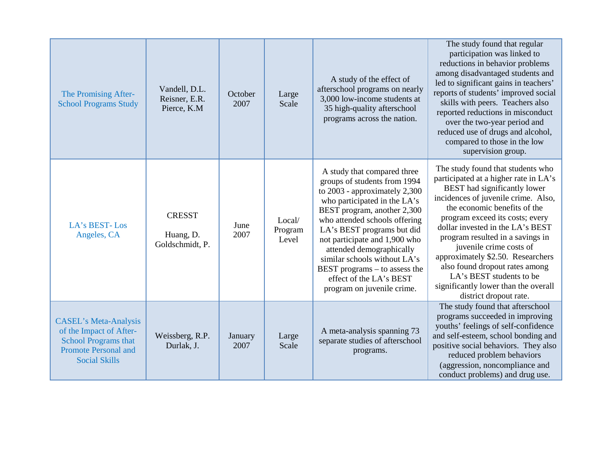| The Promising After-<br><b>School Programs Study</b>                                                                                          | Vandell, D.L.<br>Reisner, E.R.<br>Pierce, K.M | October<br>2007 | Large<br>Scale             | A study of the effect of<br>afterschool programs on nearly<br>3,000 low-income students at<br>35 high-quality afterschool<br>programs across the nation.                                                                                                                                                                                                                                                              | The study found that regular<br>participation was linked to<br>reductions in behavior problems<br>among disadvantaged students and<br>led to significant gains in teachers'<br>reports of students' improved social<br>skills with peers. Teachers also<br>reported reductions in misconduct<br>over the two-year period and<br>reduced use of drugs and alcohol,<br>compared to those in the low<br>supervision group.                                                                      |
|-----------------------------------------------------------------------------------------------------------------------------------------------|-----------------------------------------------|-----------------|----------------------------|-----------------------------------------------------------------------------------------------------------------------------------------------------------------------------------------------------------------------------------------------------------------------------------------------------------------------------------------------------------------------------------------------------------------------|----------------------------------------------------------------------------------------------------------------------------------------------------------------------------------------------------------------------------------------------------------------------------------------------------------------------------------------------------------------------------------------------------------------------------------------------------------------------------------------------|
| LA's BEST-Los<br>Angeles, CA                                                                                                                  | <b>CRESST</b><br>Huang, D.<br>Goldschmidt, P. | June<br>2007    | Local/<br>Program<br>Level | A study that compared three<br>groups of students from 1994<br>to $2003$ - approximately $2,300$<br>who participated in the LA's<br>BEST program, another 2,300<br>who attended schools offering<br>LA's BEST programs but did<br>not participate and 1,900 who<br>attended demographically<br>similar schools without LA's<br>BEST programs – to assess the<br>effect of the LA's BEST<br>program on juvenile crime. | The study found that students who<br>participated at a higher rate in LA's<br>BEST had significantly lower<br>incidences of juvenile crime. Also,<br>the economic benefits of the<br>program exceed its costs; every<br>dollar invested in the LA's BEST<br>program resulted in a savings in<br>juvenile crime costs of<br>approximately \$2.50. Researchers<br>also found dropout rates among<br>LA's BEST students to be<br>significantly lower than the overall<br>district dropout rate. |
| <b>CASEL's Meta-Analysis</b><br>of the Impact of After-<br><b>School Programs that</b><br><b>Promote Personal and</b><br><b>Social Skills</b> | Weissberg, R.P.<br>Durlak, J.                 | January<br>2007 | Large<br>Scale             | A meta-analysis spanning 73<br>separate studies of afterschool<br>programs.                                                                                                                                                                                                                                                                                                                                           | The study found that afterschool<br>programs succeeded in improving<br>youths' feelings of self-confidence<br>and self-esteem, school bonding and<br>positive social behaviors. They also<br>reduced problem behaviors<br>(aggression, noncompliance and<br>conduct problems) and drug use.                                                                                                                                                                                                  |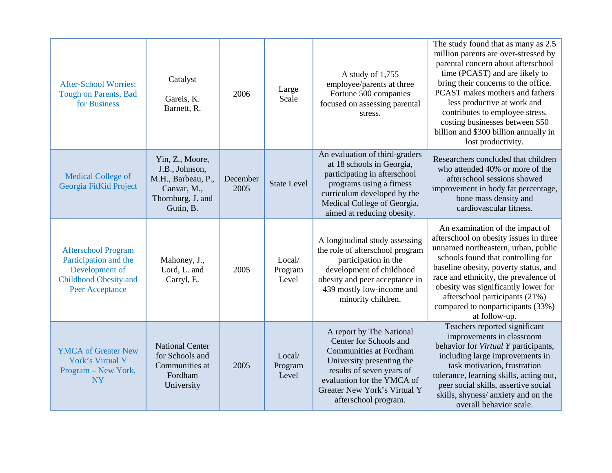| <b>After-School Worries:</b><br><b>Tough on Parents, Bad</b><br>for Business                                      | Catalyst<br>Gareis, K.<br>Barnett, R.                                                                    | 2006             | Large<br>Scale             | A study of $1,755$<br>employee/parents at three<br>Fortune 500 companies<br>focused on assessing parental<br>stress.                                                                                                                | The study found that as many as 2.5<br>million parents are over-stressed by<br>parental concern about afterschool<br>time (PCAST) and are likely to<br>bring their concerns to the office.<br>PCAST makes mothers and fathers<br>less productive at work and<br>contributes to employee stress,<br>costing businesses between \$50<br>billion and \$300 billion annually in<br>lost productivity. |
|-------------------------------------------------------------------------------------------------------------------|----------------------------------------------------------------------------------------------------------|------------------|----------------------------|-------------------------------------------------------------------------------------------------------------------------------------------------------------------------------------------------------------------------------------|---------------------------------------------------------------------------------------------------------------------------------------------------------------------------------------------------------------------------------------------------------------------------------------------------------------------------------------------------------------------------------------------------|
| <b>Medical College of</b><br>Georgia FitKid Project                                                               | Yin, Z., Moore,<br>J.B., Johnson,<br>M.H., Barbeau, P.,<br>Canvar, M.,<br>Thornburg, J. and<br>Gutin, B. | December<br>2005 | <b>State Level</b>         | An evaluation of third-graders<br>at 18 schools in Georgia,<br>participating in afterschool<br>programs using a fitness<br>curriculum developed by the<br>Medical College of Georgia,<br>aimed at reducing obesity.                 | Researchers concluded that children<br>who attended 40% or more of the<br>afterschool sessions showed<br>improvement in body fat percentage,<br>bone mass density and<br>cardiovascular fitness.                                                                                                                                                                                                  |
| <b>Afterschool Program</b><br>Participation and the<br>Development of<br>Childhood Obesity and<br>Peer Acceptance | Mahoney, J.,<br>Lord, L. and<br>Carryl, E.                                                               | 2005             | Local/<br>Program<br>Level | A longitudinal study assessing<br>the role of afterschool program<br>participation in the<br>development of childhood<br>obesity and peer acceptance in<br>439 mostly low-income and<br>minority children.                          | An examination of the impact of<br>afterschool on obesity issues in three<br>unnamed northeastern, urban, public<br>schools found that controlling for<br>baseline obesity, poverty status, and<br>race and ethnicity, the prevalence of<br>obesity was significantly lower for<br>afterschool participants (21%)<br>compared to nonparticipants (33%)<br>at follow-up.                           |
| <b>YMCA</b> of Greater New<br>York's Virtual Y<br>Program - New York,<br><b>NY</b>                                | <b>National Center</b><br>for Schools and<br>Communities at<br>Fordham<br>University                     | 2005             | Local/<br>Program<br>Level | A report by The National<br>Center for Schools and<br><b>Communities at Fordham</b><br>University presenting the<br>results of seven years of<br>evaluation for the YMCA of<br>Greater New York's Virtual Y<br>afterschool program. | Teachers reported significant<br>improvements in classroom<br>behavior for Virtual Y participants,<br>including large improvements in<br>task motivation, frustration<br>tolerance, learning skills, acting out,<br>peer social skills, assertive social<br>skills, shyness/anxiety and on the<br>overall behavior scale.                                                                         |